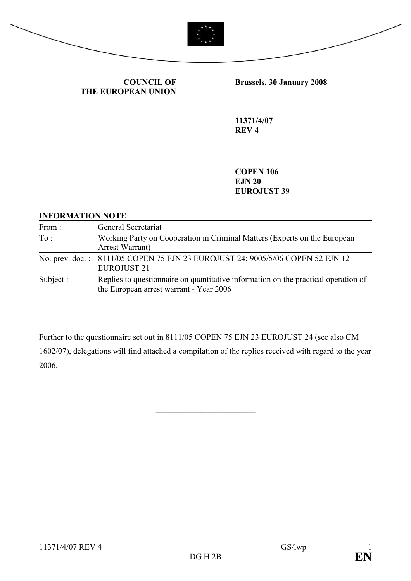



COUNCIL OF THE EUROPEAN UNION Brussels, 30 January 2008

11371/4/07 REV 4

**COPEN 106** EJN 20 EUROJUST 39

#### INFORMATION NOTE

| From:     | General Secretariat                                                                                                           |
|-----------|-------------------------------------------------------------------------------------------------------------------------------|
| To:       | Working Party on Cooperation in Criminal Matters (Experts on the European<br>Arrest Warrant)                                  |
|           | No. prev. doc.: 8111/05 COPEN 75 EJN 23 EUROJUST 24; 9005/5/06 COPEN 52 EJN 12<br>EUROJUST <sub>21</sub>                      |
| Subject : | Replies to questionnaire on quantitative information on the practical operation of<br>the European arrest warrant - Year 2006 |

Further to the questionnaire set out in 8111/05 COPEN 75 EJN 23 EUROJUST 24 (see also CM 1602/07), delegations will find attached a compilation of the replies received with regard to the year 2006.

\_\_\_\_\_\_\_\_\_\_\_\_\_\_\_\_\_\_\_\_\_\_\_\_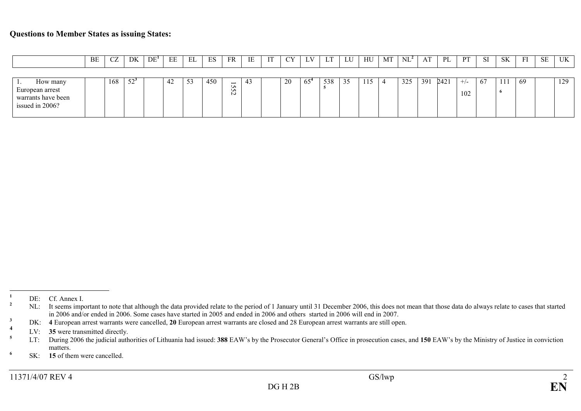#### Questions to Member States as issuing States:

|                                       | BE | CZ  | DK     | DE <sup>1</sup> | EE | <b>DI</b><br>ЕL. | ES  | FR                                         | IE | <b>CY</b> | LИ<br><b>L</b> | T<br>ш. | LU | HU  | MT | $NL^2$ | AT  | PL   | <b>PT</b>    | SI | <b>SK</b> | FI | <b>SE</b> | <b>UK</b> |
|---------------------------------------|----|-----|--------|-----------------|----|------------------|-----|--------------------------------------------|----|-----------|----------------|---------|----|-----|----|--------|-----|------|--------------|----|-----------|----|-----------|-----------|
|                                       |    |     |        |                 |    |                  |     |                                            |    |           |                |         |    |     |    |        |     |      |              |    |           |    |           |           |
| How many<br>European arrest           |    | 168 | $52^3$ |                 | 42 | 53               | 450 | $\overline{\phantom{0}}$<br>Un<br>Un.<br>N | 45 | 20        | $65^{\circ}$   | 538     | 35 | 115 |    | 325    | 391 | 2421 | $+/-$<br>102 | 67 | 111       | 69 |           | 129       |
| warrants have been<br>issued in 2006? |    |     |        |                 |    |                  |     |                                            |    |           |                |         |    |     |    |        |     |      |              |    |           |    |           |           |

 $\frac{1}{2}$  DE: Cf. Annex I.

 $2^2$  NL: It seems important to note that although the data provided relate to the period of 1 January until 31 December 2006, this does not mean that those data do always relate to cases that started in 2006 and/or ended in 2006. Some cases have started in 2005 and ended in 2006 and others started in 2006 will end in 2007.

 $3 \text{ DK:}$  4 European arrest warrants were cancelled, 20 European arrest warrants are closed and 28 European arrest warrants are still open.

<sup>4</sup><sup>4</sup> LV: **35** were transmitted directly.<br>
<sup>5</sup> LT: During 2006 the judicial auth

<sup>&</sup>lt;sup>5</sup> LT: During 2006 the judicial authorities of Lithuania had issued: 388 EAW's by the Prosecutor General's Office in prosecution cases, and 150 EAW's by the Ministry of Justice in conviction matters.

 $6$  SK: 15 of them were cancelled.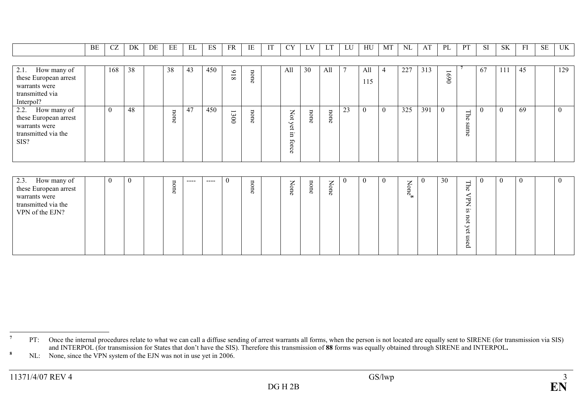|                                                                                               | BE | CZ       | DK | DE | EE              | EL | ES  | FR                                              | IE   | IT | <b>CY</b>                                                                                         | LV              | LT   | LU | HU         | MT       | NL  | AT  | PL                              | PT                                               | <b>SI</b> | <b>SK</b> | FI | SE | UK       |
|-----------------------------------------------------------------------------------------------|----|----------|----|----|-----------------|----|-----|-------------------------------------------------|------|----|---------------------------------------------------------------------------------------------------|-----------------|------|----|------------|----------|-----|-----|---------------------------------|--------------------------------------------------|-----------|-----------|----|----|----------|
|                                                                                               |    |          |    |    |                 |    |     |                                                 |      |    |                                                                                                   |                 |      |    |            |          |     |     |                                 |                                                  |           |           |    |    |          |
| 2.1.<br>How many of<br>these European arrest<br>warrants were<br>transmitted via<br>Interpol? |    | 168      | 38 |    | 38              | 43 | 450 | $\circ$<br>$\overline{\phantom{0}}$<br>$\infty$ | none |    | All                                                                                               | 30              | All  | 7  | All<br>115 | 4        | 227 | 313 | $\overline{\phantom{0}}$<br>069 |                                                  | 67        | 111       | 45 |    | 129      |
| 2.2. How many of<br>these European arrest<br>warrants were<br>transmitted via the<br>SIS?     |    | $\theta$ | 48 |    | non<br>$\sigma$ | 47 | 450 | $\overline{\phantom{0}}$<br>300                 | none |    | Z<br>$\Omega$<br>ے<br>$\mathfrak{a}$<br>$\overline{\phantom{a}}$<br>ᄇ<br>5<br>$\circ$<br>$\sigma$ | non<br>$\sigma$ | none | 23 | $\theta$   | $\theta$ | 325 | 391 | $\theta$                        | Γh<br>$\overline{\sigma}$<br>Sã<br>в<br>$\sigma$ |           | $\Omega$  | 69 |    | $\theta$ |

| 2.3.<br>How many of<br>- 0<br>v<br>ㅂ<br>$---$<br>these European arrest<br>⋼<br>$\sigma$<br>warrants were<br>transmitted via the<br>VPN of the EJN? |  | Þ<br>ర్<br>one<br>Ō<br>⋼<br>ä<br>O. | $\epsilon$<br>Ĕ | $\sim$<br>ୄ୕ୄୄୄ | $\sigma$<br>−<br>ー<br>∸<br>$\overline{\phantom{a}}$<br>ັທ<br>◡<br>∸<br>س<br>$\sigma$<br>$\rightarrow$<br>ø<br>≏ |  |
|----------------------------------------------------------------------------------------------------------------------------------------------------|--|-------------------------------------|-----------------|-----------------|-----------------------------------------------------------------------------------------------------------------|--|
|----------------------------------------------------------------------------------------------------------------------------------------------------|--|-------------------------------------|-----------------|-----------------|-----------------------------------------------------------------------------------------------------------------|--|

<sup>8</sup> NL: None, since the VPN system of the EJN was not in use yet in 2006.

<sup>&</sup>lt;sup>7</sup> PT: Once the internal procedures relate to what we can call a diffuse sending of arrest warrants all forms, when the person is not located are equally sent to SIRENE (for transmission via SIS) and INTERPOL (for transmission for States that don't have the SIS). Therefore this transmission of 88 forms was equally obtained through SIRENE and INTERPOL.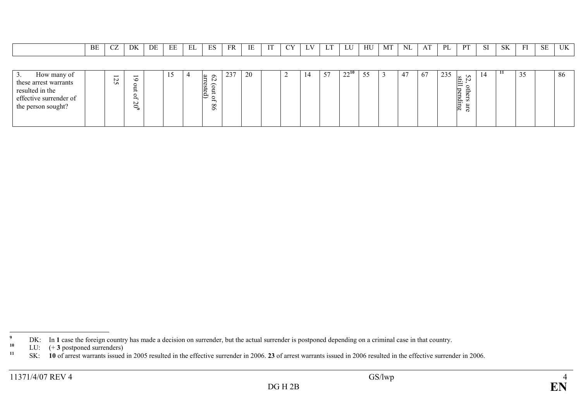|  | BE | $\sim$ | DK | DE | $\mathbf{r}$<br><u>ын</u><br>نانا | $-1$<br>◡ | E <sub>C</sub><br>⊥ພ | FR | IE | T/T | $\sim$ | $\mathbf{I}$ $\mathbf{V}$<br>∸ | $\mathbf{r}$<br>. . | $T$ $T$ $T$<br>◡ | HU | MT | <b>NL</b> | $\sim$<br>ΑI<br>. | DI | <b>DT</b> | $\sim$<br>ັ | <b>SK</b> | $\mathbf{r}$ | <b>SE</b> | <b>TITZ</b><br>UN |
|--|----|--------|----|----|-----------------------------------|-----------|----------------------|----|----|-----|--------|--------------------------------|---------------------|------------------|----|----|-----------|-------------------|----|-----------|-------------|-----------|--------------|-----------|-------------------|
|--|----|--------|----|----|-----------------------------------|-----------|----------------------|----|----|-----|--------|--------------------------------|---------------------|------------------|----|----|-----------|-------------------|----|-----------|-------------|-----------|--------------|-----------|-------------------|

| How many of<br><u>.</u><br>these arrest warrants<br>resulted in the<br>effective surrender of<br>the person sought? | N<br>U). | ৩<br>∸<br>$\overline{\phantom{0}}$<br>ັ<br>$\rightarrow$<br>N<br>$\circ$<br>╰ |  | đ<br>ູ<br>N<br>ss<br>∽<br>∸<br>∸<br>∸<br>$\check{ }$<br>∽<br>$\infty$<br>໑ | $\bigcap$<br>237 | 20 | ∼ | 57 | $22^{10}$<br>$\overline{\phantom{a}}$ | 55<br>ر. ر | -47 | 67 | 235 | ပော<br>◡<br>ÚΟ | 14 | 11 | 35<br><u>JJ</u> | 86 |
|---------------------------------------------------------------------------------------------------------------------|----------|-------------------------------------------------------------------------------|--|----------------------------------------------------------------------------|------------------|----|---|----|---------------------------------------|------------|-----|----|-----|----------------|----|----|-----------------|----|
|                                                                                                                     |          |                                                                               |  |                                                                            |                  |    |   |    |                                       |            |     |    |     |                |    |    |                 |    |

 $DG H 2B$ 

 $^{9}$  DK: In 1 case the foreign country has made a decision on surrender, but the actual surrender is postponed depending on a criminal case in that country.

<sup>&</sup>lt;sup>10</sup> LU:  $(+3 \text{ postponed surenders})$ <br><sup>11</sup> SV: **10** of great warrants issued

<sup>&</sup>lt;sup>11</sup> SK: 10 of arrest warrants issued in 2005 resulted in the effective surrender in 2006. 23 of arrest warrants issued in 2006 resulted in the effective surrender in 2006.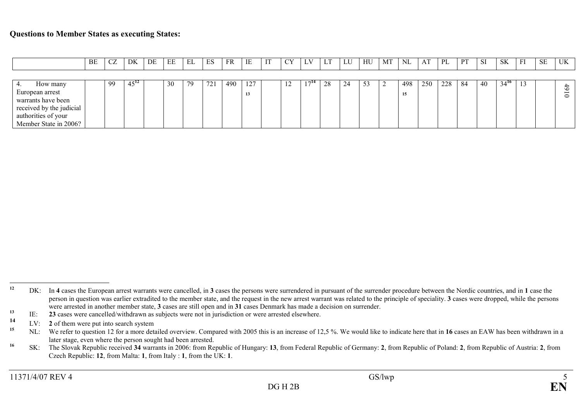|                          | BE | CZ | DK        | DE | EE | EL | ES  | <b>FR</b> | IE  | IT | $\alpha v$     | LV  | LT | LU | HU | MT | NI  | AT  | PL  | PT | <sub>SI</sub> | <b>SK</b> | FI | <b>SE</b> | UK            |
|--------------------------|----|----|-----------|----|----|----|-----|-----------|-----|----|----------------|-----|----|----|----|----|-----|-----|-----|----|---------------|-----------|----|-----------|---------------|
|                          |    |    |           |    |    |    |     |           |     |    |                |     |    |    |    |    |     |     |     |    |               |           |    |           |               |
| How many                 |    | 99 | $45^{12}$ |    | 30 | 79 | 721 | 490       | 127 |    | $\overline{1}$ | 714 | 28 | 24 | 53 | ∼  | 498 | 250 | 228 | 84 | 40            | $34^{16}$ | 13 |           | $\ddot{\phi}$ |
| European arrest          |    |    |           |    |    |    |     |           | 13  |    |                |     |    |    |    |    | 15  |     |     |    |               |           |    |           | $\circ$       |
| warrants have been       |    |    |           |    |    |    |     |           |     |    |                |     |    |    |    |    |     |     |     |    |               |           |    |           |               |
| received by the judicial |    |    |           |    |    |    |     |           |     |    |                |     |    |    |    |    |     |     |     |    |               |           |    |           |               |
| authorities of your      |    |    |           |    |    |    |     |           |     |    |                |     |    |    |    |    |     |     |     |    |               |           |    |           |               |
| Member State in 2006?    |    |    |           |    |    |    |     |           |     |    |                |     |    |    |    |    |     |     |     |    |               |           |    |           |               |

<sup>&</sup>lt;sup>12</sup> DK: In 4 cases the European arrest warrants were cancelled, in 3 cases the persons were surrendered in pursuant of the surrender procedure between the Nordic countries, and in 1 case the person in question was earlier extradited to the member state, and the request in the new arrest warrant was related to the principle of speciality. 3 cases were dropped, while the persons were arrested in another member state, 3 cases are still open and in 31 cases Denmark has made a decision on surrender.

<sup>&</sup>lt;sup>13</sup> IE: **23** cases were cancelled/withdrawn as subjects were not in jurisdiction or were arrested elsewhere.

<sup>14</sup><sup>14</sup> LV: 2 of them were put into search system<br><sup>15</sup> MI: We refer to question 12 for a more dat

<sup>&</sup>lt;sup>15</sup> NL: We refer to question 12 for a more detailed overview. Compared with 2005 this is an increase of 12,5 %. We would like to indicate here that in 16 cases an EAW has been withdrawn in a later stage, even where the person sought had been arrested.

<sup>&</sup>lt;sup>16</sup> SK: The Slovak Republic received 34 warrants in 2006: from Republic of Hungary: 13, from Federal Republic of Germany: 2, from Republic of Poland: 2, from Republic of Austria: 2, from Czech Republic: 12, from Malta: 1, from Italy : 1, from the UK: 1.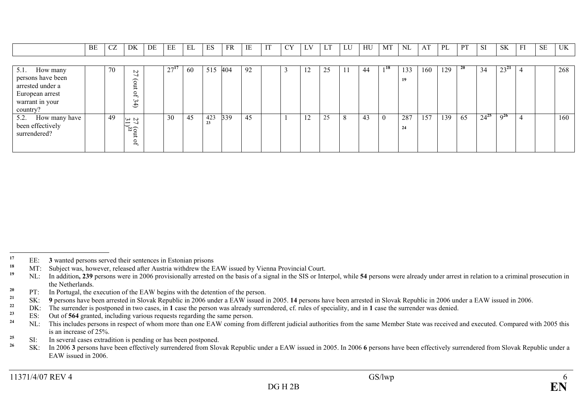|                                                                                                            | BE | <b>CZ</b> | DK                                                                                            | DE | EЕ   | EL | ES        | <b>FR</b> | IE | IT | CY | LV | ΨI | LU | HU | MT             | <b>NL</b> | AT  | PL  | <b>PT</b> | <b>SI</b> | <b>SK</b> | FI | SE | UK  |
|------------------------------------------------------------------------------------------------------------|----|-----------|-----------------------------------------------------------------------------------------------|----|------|----|-----------|-----------|----|----|----|----|----|----|----|----------------|-----------|-----|-----|-----------|-----------|-----------|----|----|-----|
|                                                                                                            |    |           |                                                                                               |    |      |    |           |           |    |    |    |    |    |    |    |                |           |     |     |           |           |           |    |    |     |
| $5.1.$ How many<br>persons have been<br>arrested under a<br>European arrest<br>warrant in your<br>country? |    | 70        | $\sim$<br>$\widehat{\circ}$<br>0<br>س<br>$\ddot{\mathbf{\Theta}}$                             |    | 27'' | 60 | 515       | 404       | 92 |    |    | 12 | 25 | 11 | 44 | 118            | 133<br>19 | 160 | 129 | -20       | 34        | $23^{21}$ | 4  |    | 268 |
| 5.2. How many have<br>been effectively<br>surrendered?                                                     |    | 49        | $\sim$ $\sim$<br>$\overline{\phantom{0}}$<br>$\overline{\Omega}$<br>$\circ$<br>$\overline{ }$ |    | 30   | 45 | 423<br>23 | 339       | 45 |    |    | 12 | 25 | 8  | 43 | $\overline{0}$ | 287<br>24 | 157 | 139 | 65        | $24^{25}$ | $Q^{26}$  | 4  |    | 160 |

<sup>23</sup> ES: Out of 564 granted, including various requests regarding the same person.

<sup>&</sup>lt;sup>17</sup> EE: **3** wanted persons served their sentences in Estonian prisons  $M<sup>T</sup>$ . Subject was beyonder released ofter Augtric with draw the E

<sup>&</sup>lt;sup>18</sup> MT: Subject was, however, released after Austria withdrew the EAW issued by Vienna Provincial Court.

<sup>&</sup>lt;sup>19</sup> NL: In addition, 239 persons were in 2006 provisionally arrested on the basis of a signal in the SIS or Interpol, while 54 persons were already under arrest in relation to a criminal prosecution in the Netherlands.

<sup>&</sup>lt;sup>20</sup> PT: In Portugal, the execution of the EAW begins with the detention of the person.

<sup>&</sup>lt;sup>21</sup> SK: 9 persons have been arrested in Slovak Republic in 2006 under a EAW issued in 2005. 14 persons have been arrested in Slovak Republic in 2006 under a EAW issued in 2006.

<sup>&</sup>lt;sup>22</sup> DK: The surrender is postponed in two cases, in 1 case the person was already surrendered, cf. rules of speciality, and in 1 case the surrender was denied.

<sup>&</sup>lt;sup>24</sup> NL: This includes persons in respect of whom more than one EAW coming from different judicial authorities from the same Member State was received and executed. Compared with 2005 this is an increase of 25%.

 $25$  SI: In several cases extradition is pending or has been postponed.

<sup>&</sup>lt;sup>26</sup> SK: In 2006 3 persons have been effectively surrendered from Slovak Republic under a EAW issued in 2005. In 2006 6 persons have been effectively surrendered from Slovak Republic under a EAW issued in 2006.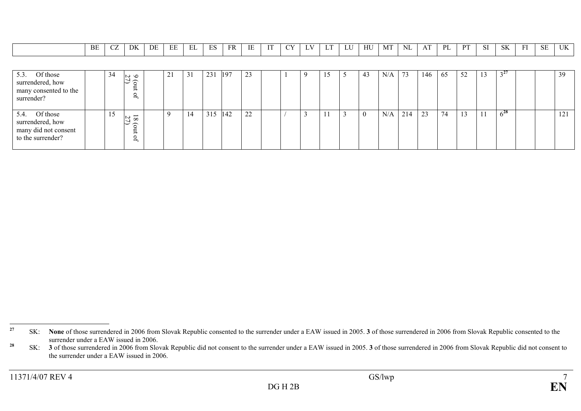|                                                                                   | BE | CZ | DK                                                        | DE | ЕE | EL | ES  | FR  | IE | IT | <b>CY</b> | LV | LT | LU | HU       | MT  | NL  | AT  | PL | PT | <b>SI</b> | SK       | FI | SE | UK  |
|-----------------------------------------------------------------------------------|----|----|-----------------------------------------------------------|----|----|----|-----|-----|----|----|-----------|----|----|----|----------|-----|-----|-----|----|----|-----------|----------|----|----|-----|
|                                                                                   |    |    |                                                           |    |    |    |     |     |    |    |           |    |    |    |          |     |     |     |    |    |           |          |    |    |     |
| 5.3.<br>Of those<br>surrendered, how<br>many consented to the<br>surrender?       |    | 34 | $\sim$ $\sim$<br>ರ ದ<br>$\mathbf{r}$                      |    | 21 | 31 | 231 | 197 | 23 |    |           |    | 15 |    | 43       | N/A | 73  | 146 | 65 | 52 | 13        | $3^{27}$ |    |    | 39  |
| 5.4.<br>Of those<br>surrendered, how<br>many did not consent<br>to the surrender? |    | 15 | $\overline{\phantom{0}}$<br>∾<br>$\infty$<br>ଚ<br>Ĕ<br>PÓ |    | 9  | 14 | 315 | 142 | 22 |    |           |    |    | 3  | $\Omega$ | N/A | 214 | 23  | 74 | 13 |           | $6^{28}$ |    |    | 121 |

<sup>&</sup>lt;sup>27</sup> SK: None of those surrendered in 2006 from Slovak Republic consented to the surrender under a EAW issued in 2005. 3 of those surrendered in 2006 from Slovak Republic consented to the surrender under a EAW issued in 2006.

<sup>&</sup>lt;sup>28</sup> SK: **3** of those surrendered in 2006 from Slovak Republic did not consent to the surrender under a EAW issued in 2005. **3** of those surrendered in 2006 from Slovak Republic did not consent to the surrender under a EAW issued in 2006.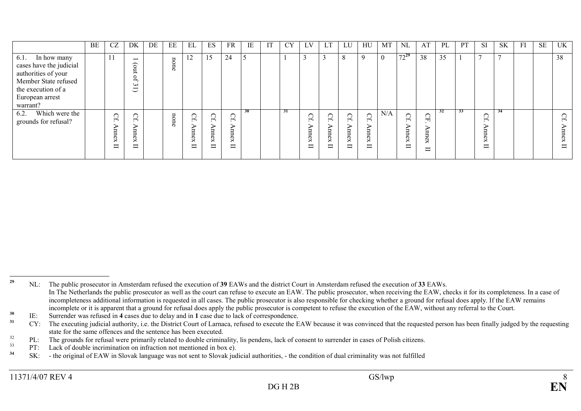|                                                                                                                                                 | BE | CZ                            | DK                                                                                          | DE | EE                    | EL                                              | ES                                  | <b>FR</b>                    | IE            | IT | <b>CY</b> | LV                                                | ⊥ i                              | LU                                                             | HU                                                          | MT       | $\rm NL$                                | AT                          | PL | <b>PT</b> | <b>SI</b>        | <b>SK</b>      | FI | <b>SE</b> | UK               |
|-------------------------------------------------------------------------------------------------------------------------------------------------|----|-------------------------------|---------------------------------------------------------------------------------------------|----|-----------------------|-------------------------------------------------|-------------------------------------|------------------------------|---------------|----|-----------|---------------------------------------------------|----------------------------------|----------------------------------------------------------------|-------------------------------------------------------------|----------|-----------------------------------------|-----------------------------|----|-----------|------------------|----------------|----|-----------|------------------|
| 6.1. In how many<br>cases have the judicial<br>authorities of your<br>Member State refused<br>the execution of a<br>European arrest<br>warrant? |    |                               | $\overline{\phantom{0}}$<br>$\widehat{\circ}$<br>Ĕ<br>$\mathbf{f}$<br>س<br>I<br>$\check{ }$ |    | $\overline{a}$<br>one | $\overline{L}$                                  | 15                                  | 24                           | $\mathcal{L}$ |    |           |                                                   |                                  | 8                                                              | $\mathbf Q$                                                 | $\theta$ | $72^{29}$                               | 38                          | 35 |           | $\overline{ }$   | $\overline{ }$ |    |           | 38               |
| Which were the<br>6.2.<br>grounds for refusal?                                                                                                  |    | ⌒<br>$\overline{\phantom{a}}$ | ◯<br>₩<br>5<br>$\overline{\phantom{0}}$<br>ex<br>$\blacksquare$                             |    | none                  | Cf.<br>ㅂ<br>$\overline{\sigma}$<br>$\Join$<br>⊟ | ◯<br>$\overline{ }$<br>ᆸ<br>εx<br>⊟ | $C_{\rm f}$<br>5<br>nex<br>⊟ | 30            |    | 31        | ↷<br>₼<br>ㅂ<br>ь<br>$\overline{\sigma}$<br>×<br>⊟ | O<br>$\overline{a}$<br>mnex<br>ᄇ | $\sim$<br>Ω<br>$\overline{ }$<br>⋼<br>$_{\rm new}$<br>$\equiv$ | ◯<br>$\overline{ }$<br>ㅂ<br>$\sigma$<br>$\rtimes$<br>−<br>- | N/A      | $\Omega$<br>₼<br>⋗<br>ㅂ<br>ь<br>ČХ<br>⊟ | Ğ<br>ь<br>ᆸ<br>ĆХ<br>Ī<br>− | 32 | 33        | ⌒<br>∪<br>₩<br>⊟ | 34             |    |           | Cf.<br>mnex<br>ᄇ |

<sup>&</sup>lt;sup>29</sup> NL: The public prosecutor in Amsterdam refused the execution of 39 EAWs and the district Court in Amsterdam refused the execution of 33 EAWs. In The Netherlands the public prosecutor as well as the court can refuse to execute an EAW. The public prosecutor, when receiving the EAW, checks it for its completeness. In a case of incompleteness additional information is requested in all cases. The public prosecutor is also responsible for checking whether a ground for refusal does apply. If the EAW remains incomplete or it is apparent that a ground for refusal does apply the public prosecutor is competent to refuse the execution of the EAW, without any referral to the Court.

 $30$  IE: Surrender was refused in 4 cases due to delay and in 1 case due to lack of correspondence.

<sup>&</sup>lt;sup>31</sup> CY: The executing judicial authority, i.e. the District Court of Larnaca, refused to execute the EAW because it was convinced that the requested person has been finally judged by the requesting state for the same offences and the sentence has been executed.

 $32$  PL: The grounds for refusal were primarily related to double criminality, lis pendens, lack of consent to surrender in cases of Polish citizens.

<sup>33</sup><sup>33</sup> PT: Lack of double incrimination on infraction not mentioned in box e).

<sup>&</sup>lt;sup>34</sup> SK: - the original of EAW in Slovak language was not sent to Slovak judicial authorities, - the condition of dual criminality was not fulfilled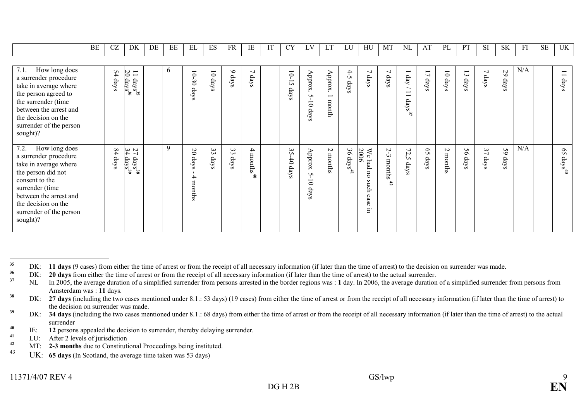|                                                                                                                                                                                                                            | BE | <b>CZ</b>              | DK                                                      | DE | EE | EL                                    | ES                         | <b>FR</b>  | IE                     | IT | <b>CY</b>                | LV                                                                 | LT                                           | LU.                   | HU                                        | МT                               | NL                                                                                                                     | AT                     | PL                         | PT            | <b>SI</b>                        | <b>SK</b>  | FI  | $\rm SE$ | UK                                                  |
|----------------------------------------------------------------------------------------------------------------------------------------------------------------------------------------------------------------------------|----|------------------------|---------------------------------------------------------|----|----|---------------------------------------|----------------------------|------------|------------------------|----|--------------------------|--------------------------------------------------------------------|----------------------------------------------|-----------------------|-------------------------------------------|----------------------------------|------------------------------------------------------------------------------------------------------------------------|------------------------|----------------------------|---------------|----------------------------------|------------|-----|----------|-----------------------------------------------------|
|                                                                                                                                                                                                                            |    |                        |                                                         |    |    |                                       |                            |            |                        |    |                          |                                                                    |                                              |                       |                                           |                                  |                                                                                                                        |                        |                            |               |                                  |            |     |          |                                                     |
| 7.1.<br>How long does<br>a surrender procedure<br>take in average where<br>the person agreed to<br>the surrender (time<br>between the arrest and<br>the decision on the<br>surrender of the person<br>sought)?             |    | 54<br>days             | $\frac{11}{20}$<br>$\frac{{\rm days}^{35}}{{\rm days}}$ |    | 6  | 10-30 days                            | $\overline{\circ}$<br>days | $9$ days   | $\overline{ }$<br>days |    | 10-15<br>days            | Approx.<br>S<br>$\circ$<br>days                                    | Approx.<br>$\overline{\phantom{0}}$<br>month | $4-5$<br>days         | $\overline{\phantom{0}}$<br>days          | $\overline{\phantom{a}}$<br>days | $\overline{\phantom{a}}$<br>$\rm{day}$<br>$\overline{\phantom{0}}$<br>$\overline{\phantom{0}}$<br>$\mathrm{days}^{37}$ | $\overline{L}$<br>days | $\overline{\circ}$<br>days | $\Xi$<br>days | $\overline{\phantom{0}}$<br>days | 29<br>days | N/A |          | $\equiv$<br>days                                    |
| 7.2.<br>How long does<br>a surrender procedure<br>take in average where<br>the person did not<br>consent to the<br>surrender (time<br>between the arrest and<br>the decision on the<br>surrender of the person<br>sought)? |    | $\overline{8}$<br>days | 27<br>$\rm{days}^{38}_{39}$                             |    | 9  | $\mathfrak{D}$<br>days<br>4<br>months | 33<br>days                 | 33<br>days | $4$ months $^{40}$     |    | 35<br>$\ddot{=}$<br>days | $\Delta$ pprox<br>S<br>$\overline{\phantom{0}}$<br>$\circ$<br>days | $\sim$<br>months                             | 36<br>$\rm days^{41}$ | We had no<br>$2006$<br>such<br>case<br>E. | 2-3<br>months<br>$\ddot{a}$      | 72,5<br>days                                                                                                           | $\mathfrak{S}$<br>days | $\sim$<br>months           | 56<br>days    | 37<br>days                       | 59<br>days | N/A |          | $\mathcal{S}^{\mathcal{S}}$<br>$\mathrm{days}^{43}$ |

<sup>43</sup> UK: **65 days** (In Scotland, the average time taken was 53 days)

<sup>&</sup>lt;sup>35</sup> DK: **11 days** (9 cases) from either the time of arrest or from the receipt of all necessary information (if later than the time of arrest) to the decision on surrender was made.

<sup>&</sup>lt;sup>36</sup> DK: **20 days** from either the time of arrest or from the receipt of all necessary information (if later than the time of arrest) to the actual surrender.

 $37$  NL In 2005, the average duration of a simplified surrender from persons arrested in the border regions was : 1 day. In 2006, the average duration of a simplified surrender from persons from Amsterdam was : 11 days.

 $38$  DK: 27 days (including the two cases mentioned under 8.1.: 53 days) (19 cases) from either the time of arrest or from the receipt of all necessary information (if later than the time of arrest) to the decision on surrender was made.

 $39$  DK: 34 days (including the two cases mentioned under 8.1.: 68 days) from either the time of arrest or from the receipt of all necessary information (if later than the time of arrest) to the actual surrender

 $^{40}$  IE: 12 persons appealed the decision to surrender, thereby delaying surrender.

<sup>&</sup>lt;sup>41</sup> LU: After 2 levels of jurisdiction

 $^{42}$  MT: 2-3 months due to Constitutional Proceedings being instituted.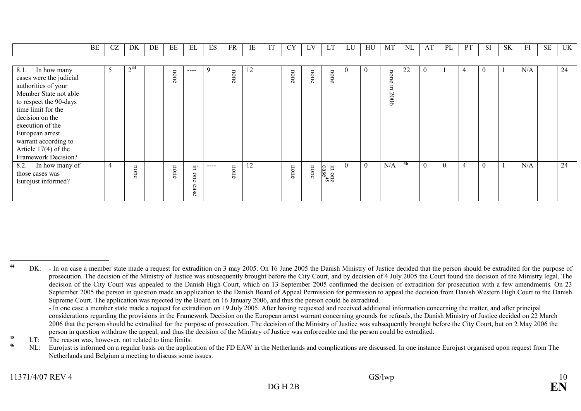|                                                                                                                                                                                                                                                                                   | BE | <b>CZ</b> | DK                | DE | EE   | EL                | ES            | <b>FR</b> | IE | IT | <b>CY</b> | LV   | LT                                                         | LU       | HU       | MT                 | <b>NL</b> | AT           | PL       | PT | <b>SI</b>      | <b>SK</b> | FI  | <b>SE</b> | UK |
|-----------------------------------------------------------------------------------------------------------------------------------------------------------------------------------------------------------------------------------------------------------------------------------|----|-----------|-------------------|----|------|-------------------|---------------|-----------|----|----|-----------|------|------------------------------------------------------------|----------|----------|--------------------|-----------|--------------|----------|----|----------------|-----------|-----|-----------|----|
|                                                                                                                                                                                                                                                                                   |    |           |                   |    |      |                   |               |           |    |    |           |      |                                                            |          |          |                    |           |              |          |    |                |           |     |           |    |
| 8.1.<br>In how many<br>cases were the judicial<br>authorities of your<br>Member State not able<br>to respect the 90-days<br>time limit for the<br>decision on the<br>execution of the<br>European arrest<br>warrant according to<br>Article $17(4)$ of the<br>Framework Decision? |    | 5         | $^{\circ}14$<br>∠ |    | none | ----              | 9             | none      | 12 |    | none      | none | none                                                       | $\theta$ |          | none<br>Ξ.<br>2006 | 22        | $\mathbf{0}$ |          | 4  | $\overline{0}$ |           | N/A |           | 24 |
| 8.2. In how many of<br>those cases was<br>Eurojust informed?                                                                                                                                                                                                                      |    | 4         | none              |    | none | Ξ.<br>one<br>case | $\frac{1}{2}$ | none      | 12 |    | none      | none | $\Xi$<br>in one<br>$\frac{1}{\cos \epsilon}$ <sup>45</sup> | $\Omega$ | $\theta$ | N/A                | 46        | $\Omega$     | $\theta$ | 4  | $\theta$       |           | N/A |           | 24 |

<sup>45</sup> LT: The reason was, however, not related to time limits.

<sup>46</sup> NL: Eurojust is informed on a regular basis on the application of the FD EAW in the Netherlands and complications are discussed. In one instance Eurojust organised upon request from The Netherlands and Belgium a meeting to discuss some issues.

<sup>&</sup>lt;sup>44</sup> DK: - In on case a member state made a request for extradition on 3 may 2005. On 16 June 2005 the Danish Ministry of Justice decided that the person should be extradited for the purpose of prosecution. The decision of the Ministry of Justice was subsequently brought before the City Court, and by decision of 4 July 2005 the Court found the decision of the Ministry legal. The decision of the City Court was appealed to the Danish High Court, which on 13 September 2005 confirmed the decision of extradition for prosecution with a few amendments. On 23 September 2005 the person in question made an application to the Danish Board of Appeal Permission for permission to appeal the decision from Danish Western High Court to the Danish Supreme Court. The application was rejected by the Board on 16 January 2006, and thus the person could be extradited.

 - In one case a member state made a request for extradition on 19 July 2005. After having requested and received additional information concerning the matter, and after principal considerations regarding the provisions in the Framework Decision on the European arrest warrant concerning grounds for refusals, the Danish Ministry of Justice decided on 22 March 2006 that the person should be extradited for the purpose of prosecution. The decision of the Ministry of Justice was subsequently brought before the City Court, but on 2 May 2006 the person in question withdraw the appeal, and thus the decision of the Ministry of Justice was enforceable and the person could be extradited.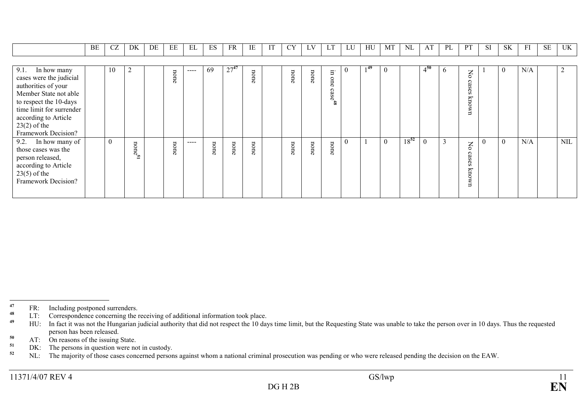|                                                                                                                                                                                                                    | BE | CZ | DK             | DE | ЕE   | ЕL   | ES              | FR        | IE   | <b>CY</b> | LV   | LT                       | LU       | HU   | МT       | NL        | AT       | PL           |                                                                                 | <b>SI</b> | <b>SK</b> | FI  | <b>SE</b> | UK         |
|--------------------------------------------------------------------------------------------------------------------------------------------------------------------------------------------------------------------|----|----|----------------|----|------|------|-----------------|-----------|------|-----------|------|--------------------------|----------|------|----------|-----------|----------|--------------|---------------------------------------------------------------------------------|-----------|-----------|-----|-----------|------------|
|                                                                                                                                                                                                                    |    |    |                |    |      |      |                 |           |      |           |      |                          |          |      |          |           |          |              |                                                                                 |           |           |     |           |            |
| 9.1. In how many<br>cases were the judicial<br>authorities of your<br>Member State not able<br>to respect the 10-days<br>time limit for surrender<br>according to Article<br>$23(2)$ of the<br>Framework Decision? |    | 10 | $\overline{2}$ |    | none | ---- | 69              | $27^{47}$ | none | none      | none | Ξ.<br>one<br>$\csc^{48}$ | $\theta$ | 1 49 |          |           | $4^{50}$ | <sub>0</sub> | δX<br>case<br>S<br>Ŋ<br>UWO                                                     |           | $\theta$  | N/A |           |            |
| 9.2. In how many of<br>those cases was the<br>person released,<br>according to Article<br>$23(5)$ of the<br>Framework Decision?                                                                                    |    | -0 | nones          |    | none | ---- | non<br>$\sigma$ | none      | none | none      | none | none                     | $\theta$ |      | $\theta$ | $18^{52}$ | $\theta$ | 3            | $\overline{\mathsf{S}}$<br>$\circ$<br>äs<br>SS.<br>$\overline{\pi}$<br>MOU<br>⊟ |           | $\theta$  | N/A |           | <b>NIL</b> |

<sup>47</sup> FR: Including postponed surrenders.

<sup>48</sup> LT: Correspondence concerning the receiving of additional information took place.

<sup>49</sup> HU: In fact it was not the Hungarian judicial authority that did not respect the 10 days time limit, but the Requesting State was unable to take the person over in 10 days. Thus the requested person has been released.

 $50$  AT: On reasons of the issuing State.

<sup>51</sup> DK: The persons in question were not in custody.

 $52$  NL: The majority of those cases concerned persons against whom a national criminal prosecution was pending or who were released pending the decision on the EAW.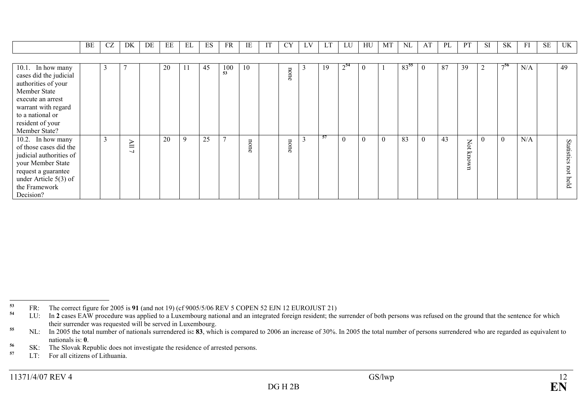|                         | BE | CZ | DK                       | DE | EE | EL          | ES | FR             | IE   | И | <b>CY</b> | LV | LT  | LU       | HU       | МT       | NL   | AT             | PL | PT   | <b>SI</b> | <b>SK</b> | FI  | <b>SE</b> | UK         |
|-------------------------|----|----|--------------------------|----|----|-------------|----|----------------|------|---|-----------|----|-----|----------|----------|----------|------|----------------|----|------|-----------|-----------|-----|-----------|------------|
|                         |    |    |                          |    |    |             |    |                |      |   |           |    |     |          |          |          |      |                |    |      |           |           |     |           |            |
| 10.1. In how many       |    | 3  |                          |    | 20 | 11          | 45 | 100            | 10   |   | non       | 3  | 19  | $2^{54}$ | $\theta$ |          | 8355 | $\overline{0}$ | 87 | 39   | 2         | 756       | N/A |           | 49         |
| cases did the judicial  |    |    |                          |    |    |             |    | 53             |      |   | $\sigma$  |    |     |          |          |          |      |                |    |      |           |           |     |           |            |
| authorities of your     |    |    |                          |    |    |             |    |                |      |   |           |    |     |          |          |          |      |                |    |      |           |           |     |           |            |
| Member State            |    |    |                          |    |    |             |    |                |      |   |           |    |     |          |          |          |      |                |    |      |           |           |     |           |            |
| execute an arrest       |    |    |                          |    |    |             |    |                |      |   |           |    |     |          |          |          |      |                |    |      |           |           |     |           |            |
| warrant with regard     |    |    |                          |    |    |             |    |                |      |   |           |    |     |          |          |          |      |                |    |      |           |           |     |           |            |
| to a national or        |    |    |                          |    |    |             |    |                |      |   |           |    |     |          |          |          |      |                |    |      |           |           |     |           |            |
| resident of your        |    |    |                          |    |    |             |    |                |      |   |           |    |     |          |          |          |      |                |    |      |           |           |     |           |            |
| Member State?           |    |    |                          |    |    |             |    |                |      |   |           |    |     |          |          |          |      |                |    |      |           |           |     |           |            |
| 10.2. In how many       |    | 3  | $\Xi$                    |    | 20 | $\mathbf Q$ | 25 | $\overline{ }$ |      |   |           |    | -57 | $\theta$ | $\Omega$ | $\theta$ | 83   | $\theta$       | 43 |      | $\Omega$  | $\theta$  | N/A |           |            |
| of those cases did the  |    |    | $\overline{\phantom{0}}$ |    |    |             |    |                | none |   | none      |    |     |          |          |          |      |                |    | Not  |           |           |     |           | Statistics |
| judicial authorities of |    |    |                          |    |    |             |    |                |      |   |           |    |     |          |          |          |      |                |    | mown |           |           |     |           |            |
| your Member State       |    |    |                          |    |    |             |    |                |      |   |           |    |     |          |          |          |      |                |    |      |           |           |     |           |            |
| request a guarantee     |    |    |                          |    |    |             |    |                |      |   |           |    |     |          |          |          |      |                |    |      |           |           |     |           | not        |
| under Article $5(3)$ of |    |    |                          |    |    |             |    |                |      |   |           |    |     |          |          |          |      |                |    |      |           |           |     |           | held       |
| the Framework           |    |    |                          |    |    |             |    |                |      |   |           |    |     |          |          |          |      |                |    |      |           |           |     |           |            |
| Decision?               |    |    |                          |    |    |             |    |                |      |   |           |    |     |          |          |          |      |                |    |      |           |           |     |           |            |

 $^{53}$  FR: The correct figure for 2005 is 91 (and not 19) (cf 9005/5/06 REV 5 COPEN 52 EJN 12 EUROJUST 21)

<sup>&</sup>lt;sup>54</sup> LU: In 2 cases EAW procedure was applied to a Luxembourg national and an integrated foreign resident; the surrender of both persons was refused on the ground that the sentence for which their surrender was requested will be served in Luxembourg.

<sup>&</sup>lt;sup>55</sup> NL: In 2005 the total number of nationals surrendered is: 83, which is compared to 2006 an increase of 30%. In 2005 the total number of persons surrendered who are regarded as equivalent to nationals is: 0.

<sup>&</sup>lt;sup>56</sup> SK: The Slovak Republic does not investigate the residence of arrested persons.

<sup>57</sup> LT: For all citizens of Lithuania.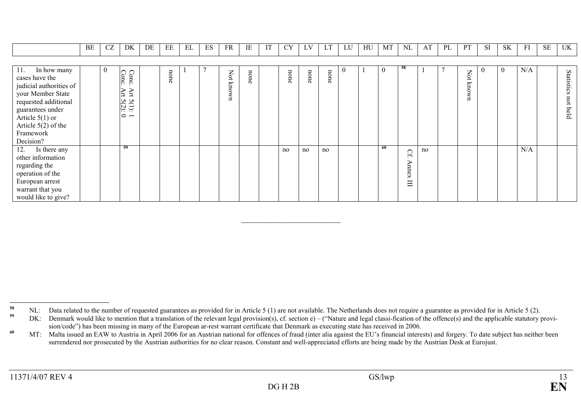|                                                                                                                                                                                                          | BE | CZ               | DK                                                          | DE | EE   | EL | ES | <b>FR</b>       | IE   | <b>CY</b> | LV   | LT   | LU                 | HU | MT             | <b>NL</b>       | AT | PL | <b>PT</b>       | <b>SI</b>        | <b>SK</b>      | FI  | <b>SE</b> | UK                        |
|----------------------------------------------------------------------------------------------------------------------------------------------------------------------------------------------------------|----|------------------|-------------------------------------------------------------|----|------|----|----|-----------------|------|-----------|------|------|--------------------|----|----------------|-----------------|----|----|-----------------|------------------|----------------|-----|-----------|---------------------------|
|                                                                                                                                                                                                          |    |                  |                                                             |    |      |    |    |                 |      |           |      |      |                    |    |                |                 |    |    |                 |                  |                |     |           |                           |
| 11.<br>In how many<br>cases have the<br>judicial authorities of<br>your Member State<br>requested additional<br>guarantees under<br>Article $5(1)$ or<br>Article $5(2)$ of the<br>Framework<br>Decision? |    | $\boldsymbol{0}$ | Conc<br>Conc<br>Αrt<br>Art<br>$5(1):$<br>$5(2):$<br>$\circ$ |    | none |    |    | Not<br>kno<br>Š | none | none      | none | none | $\left( 0 \right)$ |    | $\overline{0}$ | -58             |    |    | Not<br>kno<br>Š | $\boldsymbol{0}$ | $\overline{0}$ | N/A |           | Statistics<br>not<br>held |
| 12.<br>Is there any<br>other information<br>regarding the<br>operation of the<br>European arrest<br>warrant that you<br>would like to give?                                                              |    |                  | -59                                                         |    |      |    |    |                 |      | no        | no   | no   |                    |    | -60            | Cf<br>mnex<br>Ξ | no |    |                 |                  |                | N/A |           |                           |

 $\mathcal{L}_\mathcal{L}$  , and the set of the set of the set of the set of the set of the set of the set of the set of the set of the set of the set of the set of the set of the set of the set of the set of the set of the set of th

<sup>&</sup>lt;sup>58</sup> NL: Data related to the number of requested guarantees as provided for in Article 5 (1) are not available. The Netherlands does not require a guarantee as provided for in Article 5 (2).

 $59$  DK: Denmark would like to mention that a translation of the relevant legal provision(s), cf. section e) – ("Nature and legal classi-fication of the offence(s) and the applicable statutory provision/code") has been missing in many of the European ar-rest warrant certificate that Denmark as executing state has received in 2006.

<sup>&</sup>lt;sup>60</sup> MT: Malta issued an EAW to Austria in April 2006 for an Austrian national for offences of fraud (inter alia against the EU's financial interests) and forgery. To date subject has neither been surrendered nor prosecuted by the Austrian authorities for no clear reason. Constant and well-appreciated efforts are being made by the Austrian Desk at Eurojust.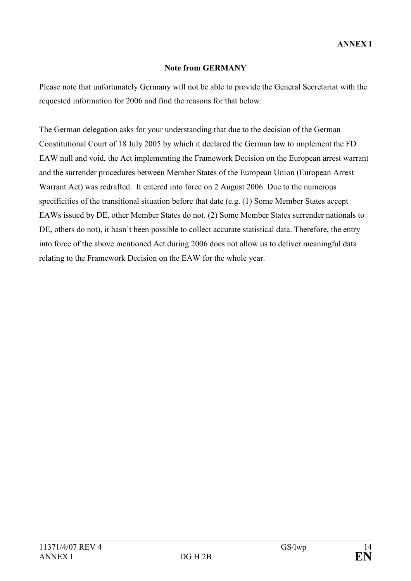## Note from GERMANY

Please note that unfortunately Germany will not be able to provide the General Secretariat with the requested information for 2006 and find the reasons for that below:

The German delegation asks for your understanding that due to the decision of the German Constitutional Court of 18 July 2005 by which it declared the German law to implement the FD EAW null and void, the Act implementing the Framework Decision on the European arrest warrant and the surrender procedures between Member States of the European Union (European Arrest Warrant Act) was redrafted. It entered into force on 2 August 2006. Due to the numerous specificities of the transitional situation before that date (e.g. (1) Some Member States accept EAWs issued by DE, other Member States do not. (2) Some Member States surrender nationals to DE, others do not), it hasn't been possible to collect accurate statistical data. Therefore, the entry into force of the above mentioned Act during 2006 does not allow us to deliver meaningful data relating to the Framework Decision on the EAW for the whole year.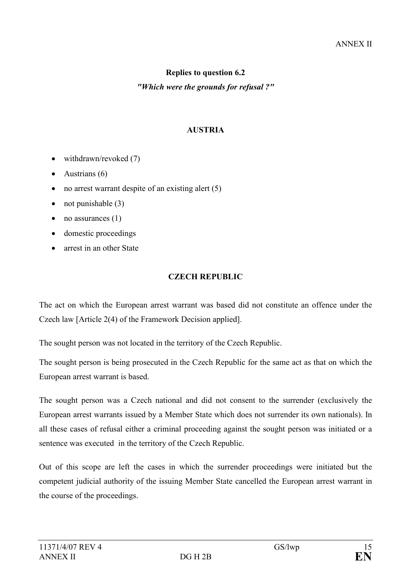# Replies to question 6.2

### "Which were the grounds for refusal ?"

### AUSTRIA

- withdrawn/revoked (7)
- Austrians  $(6)$
- no arrest warrant despite of an existing alert  $(5)$
- not punishable  $(3)$
- no assurances  $(1)$
- domestic proceedings
- arrest in an other State

## CZECH REPUBLIC

The act on which the European arrest warrant was based did not constitute an offence under the Czech law [Article 2(4) of the Framework Decision applied].

The sought person was not located in the territory of the Czech Republic.

The sought person is being prosecuted in the Czech Republic for the same act as that on which the European arrest warrant is based.

The sought person was a Czech national and did not consent to the surrender (exclusively the European arrest warrants issued by a Member State which does not surrender its own nationals). In all these cases of refusal either a criminal proceeding against the sought person was initiated or a sentence was executed in the territory of the Czech Republic.

Out of this scope are left the cases in which the surrender proceedings were initiated but the competent judicial authority of the issuing Member State cancelled the European arrest warrant in the course of the proceedings.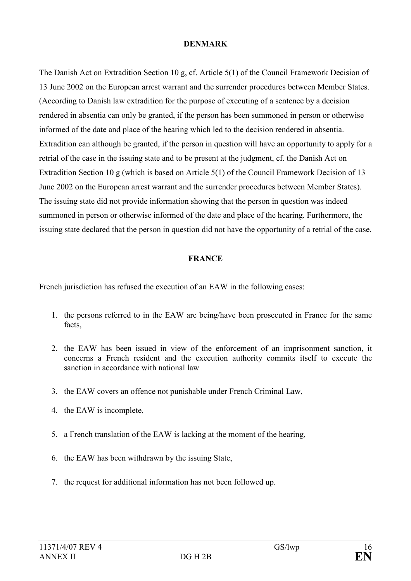### DENMARK

The Danish Act on Extradition Section 10 g, cf. Article 5(1) of the Council Framework Decision of 13 June 2002 on the European arrest warrant and the surrender procedures between Member States. (According to Danish law extradition for the purpose of executing of a sentence by a decision rendered in absentia can only be granted, if the person has been summoned in person or otherwise informed of the date and place of the hearing which led to the decision rendered in absentia. Extradition can although be granted, if the person in question will have an opportunity to apply for a retrial of the case in the issuing state and to be present at the judgment, cf. the Danish Act on Extradition Section 10 g (which is based on Article 5(1) of the Council Framework Decision of 13 June 2002 on the European arrest warrant and the surrender procedures between Member States). The issuing state did not provide information showing that the person in question was indeed summoned in person or otherwise informed of the date and place of the hearing. Furthermore, the issuing state declared that the person in question did not have the opportunity of a retrial of the case.

### FRANCE

French jurisdiction has refused the execution of an EAW in the following cases:

- 1. the persons referred to in the EAW are being/have been prosecuted in France for the same facts,
- 2. the EAW has been issued in view of the enforcement of an imprisonment sanction, it concerns a French resident and the execution authority commits itself to execute the sanction in accordance with national law
- 3. the EAW covers an offence not punishable under French Criminal Law,
- 4. the EAW is incomplete,
- 5. a French translation of the EAW is lacking at the moment of the hearing,
- 6. the EAW has been withdrawn by the issuing State,
- 7. the request for additional information has not been followed up.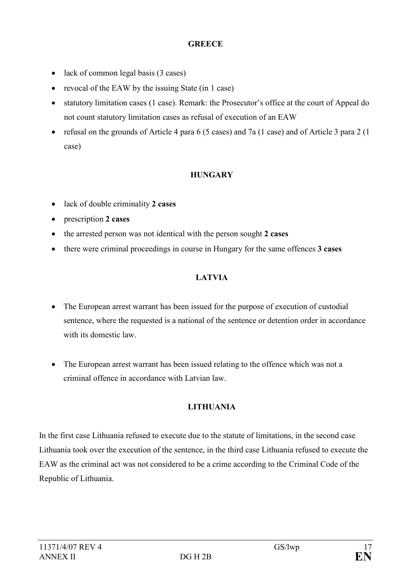## **GREECE**

- lack of common legal basis (3 cases)
- revocal of the EAW by the issuing State (in 1 case)
- statutory limitation cases (1 case). Remark: the Prosecutor's office at the court of Appeal do not count statutory limitation cases as refusal of execution of an EAW
- refusal on the grounds of Article 4 para 6 (5 cases) and 7a (1 case) and of Article 3 para 2 (1 case)

## **HUNGARY**

- lack of double criminality 2 cases
- prescription 2 cases
- the arrested person was not identical with the person sought 2 cases
- there were criminal proceedings in course in Hungary for the same offences 3 cases

# LATVIA

- The European arrest warrant has been issued for the purpose of execution of custodial sentence, where the requested is a national of the sentence or detention order in accordance with its domestic law.
- The European arrest warrant has been issued relating to the offence which was not a criminal offence in accordance with Latvian law.

# LITHUANIA

In the first case Lithuania refused to execute due to the statute of limitations, in the second case Lithuania took over the execution of the sentence, in the third case Lithuania refused to execute the EAW as the criminal act was not considered to be a crime according to the Criminal Code of the Republic of Lithuania.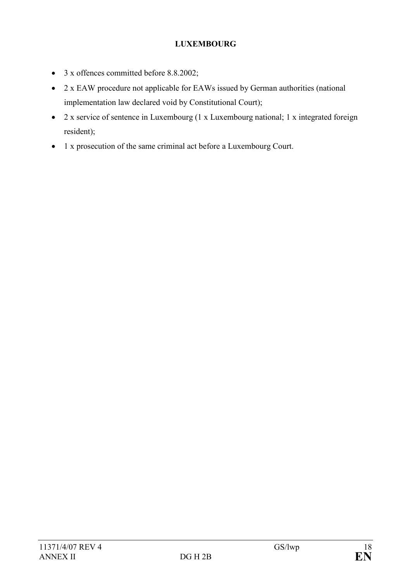# LUXEMBOURG

- 3 x offences committed before 8.8.2002;
- 2 x EAW procedure not applicable for EAWs issued by German authorities (national implementation law declared void by Constitutional Court);
- 2 x service of sentence in Luxembourg (1 x Luxembourg national; 1 x integrated foreign resident);
- 1 x prosecution of the same criminal act before a Luxembourg Court.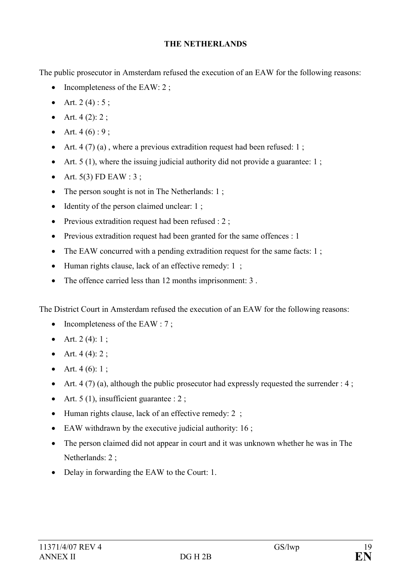### THE NETHERLANDS

The public prosecutor in Amsterdam refused the execution of an EAW for the following reasons:

- Incompleteness of the EAW:  $2$ ;
- Art.  $2(4): 5:$
- Art.  $4(2)$ : 2;
- Art.  $4(6):9;$
- Art. 4 (7) (a), where a previous extradition request had been refused: 1;
- Art.  $5(1)$ , where the issuing judicial authority did not provide a guarantee: 1;
- Art.  $5(3)$  FD EAW : 3;
- The person sought is not in The Netherlands: 1;
- Identity of the person claimed unclear: 1;
- Previous extradition request had been refused : 2;
- Previous extradition request had been granted for the same offences : 1
- The EAW concurred with a pending extradition request for the same facts: 1;
- Human rights clause, lack of an effective remedy: 1;
- The offence carried less than 12 months imprisonment: 3 .

The District Court in Amsterdam refused the execution of an EAW for the following reasons:

- Incompleteness of the EAW : 7;
- Art.  $2(4)$ : 1;
- Art.  $4(4)$ : 2;
- Art.  $4(6)$ : 1;
- Art. 4 (7) (a), although the public prosecutor had expressly requested the surrender : 4;
- Art.  $5(1)$ , insufficient guarantee : 2;
- Human rights clause, lack of an effective remedy: 2;
- EAW withdrawn by the executive judicial authority: 16;
- The person claimed did not appear in court and it was unknown whether he was in The Netherlands: 2 ;
- Delay in forwarding the EAW to the Court: 1.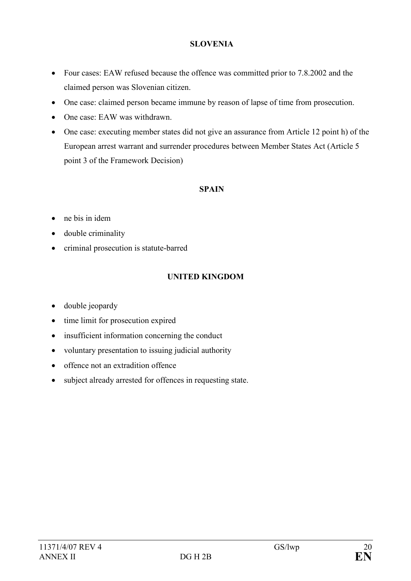### SLOVENIA

- Four cases: EAW refused because the offence was committed prior to 7.8.2002 and the claimed person was Slovenian citizen.
- One case: claimed person became immune by reason of lapse of time from prosecution.
- One case: EAW was withdrawn.
- One case: executing member states did not give an assurance from Article 12 point h) of the European arrest warrant and surrender procedures between Member States Act (Article 5 point 3 of the Framework Decision)

### **SPAIN**

- ne bis in idem
- double criminality
- criminal prosecution is statute-barred

## UNITED KINGDOM

- double jeopardy
- time limit for prosecution expired
- insufficient information concerning the conduct
- voluntary presentation to issuing judicial authority
- offence not an extradition offence
- subject already arrested for offences in requesting state.